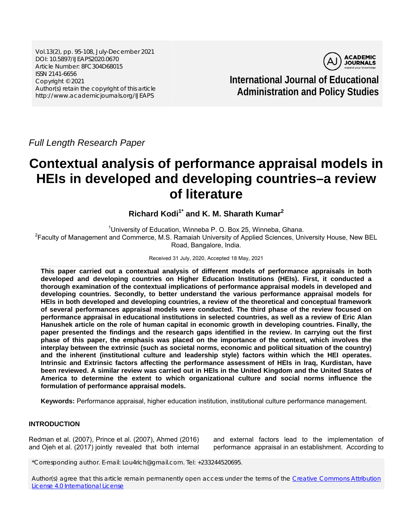Vol.13(2), pp. 95-108, July-December 2021 DOI: 10.5897/IJEAPS2020.0670 Article Number: 8FC304D68015 ISSN 2141-6656 Copyright © 2021 Author(s) retain the copyright of this article http://www.academicjournals.org/IJEAPS



**International Journal of Educational Administration and Policy Studies**

*Full Length Research Paper*

# **Contextual analysis of performance appraisal models in HEIs in developed and developing countries–a review of literature**

**Richard Kodi1\* and K. M. Sharath Kumar2**

<sup>1</sup>University of Education, Winneba P. O. Box 25, Winneba, Ghana. <sup>2</sup> Faculty of Management and Commerce, M.S. Ramaiah University of Applied Sciences, University House, New BEL Road, Bangalore, India.

#### Received 31 July, 2020, Accepted 18 May, 2021

**This paper carried out a contextual analysis of different models of performance appraisals in both developed and developing countries on Higher Education Institutions (HEIs). First, it conducted a thorough examination of the contextual implications of performance appraisal models in developed and developing countries. Secondly, to better understand the various performance appraisal models for HEIs in both developed and developing countries, a review of the theoretical and conceptual framework of several performances appraisal models were conducted. The third phase of the review focused on performance appraisal in educational institutions in selected countries, as well as a review of Eric Alan Hanushek article on the role of human capital in economic growth in developing countries. Finally, the paper presented the findings and the research gaps identified in the review. In carrying out the first phase of this paper, the emphasis was placed on the importance of the context, which involves the interplay between the extrinsic (such as societal norms, economic and political situation of the country) and the inherent (institutional culture and leadership style) factors within which the HEI operates. Intrinsic and Extrinsic factors affecting the performance assessment of HEIs in Iraq, Kurdistan, have been reviewed. A similar review was carried out in HEIs in the United Kingdom and the United States of America to determine the extent to which organizational culture and social norms influence the formulation of performance appraisal models.** 

**Keywords:** Performance appraisal, higher education institution, institutional culture performance management.

## **INTRODUCTION**

Redman et al. (2007), Prince et al. (2007), Ahmed (2016) and Ojeh et al. (2017) jointly revealed that both internal

and external factors lead to the implementation of performance appraisal in an establishment. According to

\*Corresponding author. E-mail: Lou4rich@gmail.com. Tel: +233244520695.

Author(s) agree that this article remain permanently open access under the terms of the Creative Commons Attribution License 4.0 International License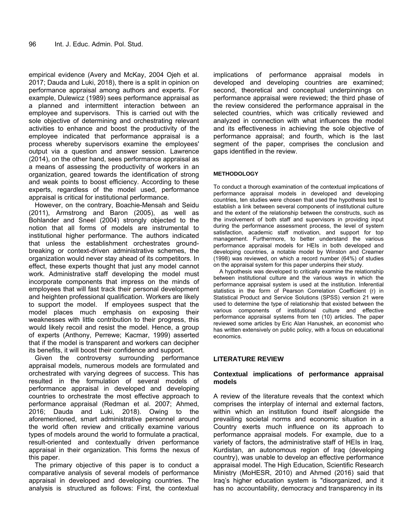empirical evidence (Avery and McKay, 2004 Ojeh et al. 2017; Dauda and Luki, 2018), there is a split in opinion on performance appraisal among authors and experts. For example, Dulewicz (1989) sees performance appraisal as a planned and intermittent interaction between an employee and supervisors. This is carried out with the sole objective of determining and orchestrating relevant activities to enhance and boost the productivity of the employee indicated that performance appraisal is a process whereby supervisors examine the employees' output via a question and answer session. Lawrence (2014), on the other hand, sees performance appraisal as a means of assessing the productivity of workers in an organization, geared towards the identification of strong and weak points to boost efficiency. According to these experts, regardless of the model used, performance appraisal is critical for institutional performance.

However, on the contrary, Boachie-Mensah and Seidu (2011), Armstrong and Baron (2005), as well as Bohlander and Sneel (2004) strongly objected to the notion that all forms of models are instrumental to institutional higher performance. The authors indicated that unless the establishment orchestrates groundbreaking or context-driven administrative schemes, the organization would never stay ahead of its competitors. In effect, these experts thought that just any model cannot work. Administrative staff developing the model must incorporate components that impress on the minds of employees that will fast track their personal development and heighten professional qualification. Workers are likely to support the model. If employees suspect that the model places much emphasis on exposing their weaknesses with little contribution to their progress, this would likely recoil and resist the model. Hence, a group of experts (Anthony, Perrewe; Kacmar, 1999) asserted that if the model is transparent and workers can decipher its benefits, it will boost their confidence and support.

Given the controversy surrounding performance appraisal models, numerous models are formulated and orchestrated with varying degrees of success. This has resulted in the formulation of several models of performance appraisal in developed and developing countries to orchestrate the most effective approach to performance appraisal (Redman et al. 2007; Ahmed, 2016; Dauda and Luki, 2018). Owing to the aforementioned, smart administrative personnel around the world often review and critically examine various types of models around the world to formulate a practical, result-oriented and contextually driven performance appraisal in their organization. This forms the nexus of this paper.

The primary objective of this paper is to conduct a comparative analysis of several models of performance appraisal in developed and developing countries. The analysis is structured as follows: First, the contextual

implications of performance appraisal models in developed and developing countries are examined; second, theoretical and conceptual underpinnings on performance appraisal were reviewed; the third phase of the review considered the performance appraisal in the selected countries, which was critically reviewed and analyzed in connection with what influences the model and its effectiveness in achieving the sole objective of performance appraisal; and fourth, which is the last segment of the paper, comprises the conclusion and gaps identified in the review.

#### **METHODOLOGY**

To conduct a thorough examination of the contextual implications of performance appraisal models in developed and developing countries, ten studies were chosen that used the hypothesis test to establish a link between several components of institutional culture and the extent of the relationship between the constructs, such as the involvement of both staff and supervisors in providing input during the performance assessment process, the level of system satisfaction, academic staff motivation, and support for top management. Furthermore, to better understand the various performance appraisal models for HEIs in both developed and developing countries, a notable model by Winston and Creamer (1998) was reviewed, on which a record number (64%) of studies on the appraisal system for this paper underpins their study.

A hypothesis was developed to critically examine the relationship between institutional culture and the various ways in which the performance appraisal system is used at the institution. Inferential statistics in the form of Pearson Correlation Coefficient (r) in Statistical Product and Service Solutions (SPSS) version 21 were used to determine the type of relationship that existed between the various components of institutional culture and effective performance appraisal systems from ten (10) articles. The paper reviewed some articles by Eric Alan Hanushek, an economist who has written extensively on public policy, with a focus on educational economics.

#### **LITERATURE REVIEW**

#### **Contextual implications of performance appraisal models**

A review of the literature reveals that the context which comprises the interplay of internal and external factors, within which an institution found itself alongside the prevailing societal norms and economic situation in a Country exerts much influence on its approach to performance appraisal models. For example, due to a variety of factors, the administrative staff of HEIs in Iraq, Kurdistan, an autonomous region of Iraq (developing country), was unable to develop an effective performance appraisal model. The High Education, Scientific Research Ministry (MoHESR, 2010) and Ahmed (2016) said that Iraq's higher education system is "disorganized, and it has no accountability, democracy and transparency in its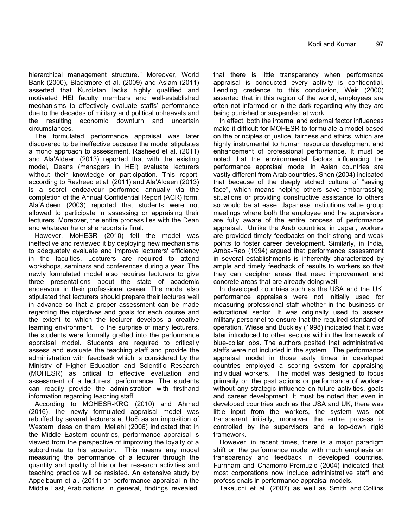hierarchical management structure." Moreover, World Bank (2000), Blackmore et al. (2009) and Aslam (2011) asserted that Kurdistan lacks highly qualified and motivated HEI faculty members and well-established mechanisms to effectively evaluate staffs' performance due to the decades of military and political upheavals and the resulting economic downturn and uncertain circumstances.

The formulated performance appraisal was later discovered to be ineffective because the model stipulates a mono approach to assessment. Rasheed et al. (2011) and Ala'Aldeen (2013) reported that with the existing model, Deans (managers in HEI) evaluate lecturers without their knowledge or participation. This report, according to Rasheed et al. (2011) and Ala'Aldeen (2013) is a secret endeavour performed annually via the completion of the Annual Confidential Report (ACR) form. Ala'Aldeen (2003) reported that students were not allowed to participate in assessing or appraising their lecturers. Moreover, the entire process lies with the Dean and whatever he or she reports is final.

However, MoHESR (2010) felt the model was ineffective and reviewed it by deploying new mechanisms to adequately evaluate and improve lecturers' efficiency in the faculties. Lecturers are required to attend workshops, seminars and conferences during a year. The newly formulated model also requires lecturers to give three presentations about the state of academic endeavour in their professional career. The model also stipulated that lecturers should prepare their lectures well in advance so that a proper assessment can be made regarding the objectives and goals for each course and the extent to which the lecturer develops a creative learning environment. To the surprise of many lecturers, the students were formally grafted into the performance appraisal model. Students are required to critically assess and evaluate the teaching staff and provide the administration with feedback which is considered by the Ministry of Higher Education and Scientific Research (MOHESR) as critical to effective evaluation and assessment of a lecturers' performance. The students can readily provide the administration with firsthand information regarding teaching staff.

According to MOHESR-KRG (2010) and Ahmed (2016), the newly formulated appraisal model was rebuffed by several lecturers at UoS as an imposition of Western ideas on them. Mellahi (2006) indicated that in the Middle Eastern countries, performance appraisal is viewed from the perspective of improving the loyalty of a subordinate to his superior. This means any model measuring the performance of a lecturer through the quantity and quality of his or her research activities and teaching practice will be resisted. An extensive study by Appelbaum et al. (2011) on performance appraisal in the Middle East, Arab nations in general, findings revealed

that there is little transparency when performance appraisal is conducted every activity is confidential. Lending credence to this conclusion, Weir (2000) asserted that in this region of the world, employees are often not informed or in the dark regarding why they are being punished or suspended at work.

In effect, both the internal and external factor influences make it difficult for MOHESR to formulate a model based on the principles of justice, fairness and ethics, which are highly instrumental to human resource development and enhancement of professional performance. It must be noted that the environmental factors influencing the performance appraisal model in Asian countries are vastly different from Arab countries. Shen (2004) indicated that because of the deeply etched culture of "saving face", which means helping others save embarrassing situations or providing constructive assistance to others so would be at ease. Japanese institutions value group meetings where both the employee and the supervisors are fully aware of the entire process of performance appraisal. Unlike the Arab countries, in Japan, workers are provided timely feedbacks on their strong and weak points to foster career development. Similarly, in India, Amba-Rao (1994) argued that performance assessment in several establishments is inherently characterized by ample and timely feedback of results to workers so that they can decipher areas that need improvement and concrete areas that are already doing well.

In developed countries such as the USA and the UK, performance appraisals were not initially used for measuring professional staff whether in the business or educational sector. It was originally used to assess military personnel to ensure that the required standard of operation. Wiese and Buckley (1998) indicated that it was later introduced to other sectors within the framework of blue-collar jobs. The authors posited that administrative staffs were not included in the system. The performance appraisal model in those early times in developed countries employed a scoring system for appraising individual workers. The model was designed to focus primarily on the past actions or performance of workers without any strategic influence on future activities, goals and career development. It must be noted that even in developed countries such as the USA and UK, there was little input from the workers, the system was not transparent initially, moreover the entire process is controlled by the supervisors and a top-down rigid framework.

However, in recent times, there is a major paradigm shift on the performance model with much emphasis on transparency and feedback in developed countries. Furnham and Chamorro‐Premuzic (2004) indicated that most corporations now include administrative staff and professionals in performance appraisal models.

Takeuchi et al. (2007) as well as Smith and Collins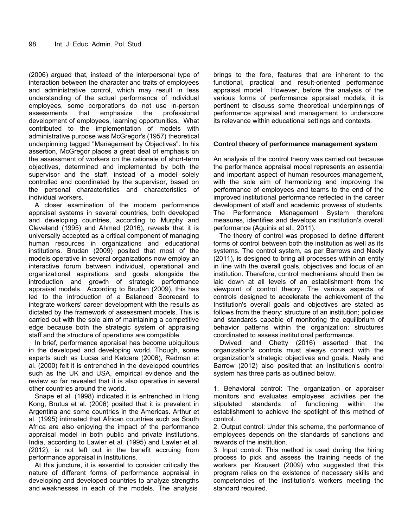(2006) argued that, instead of the interpersonal type of interaction between the character and traits of employees and administrative control, which may result in less understanding of the actual performance of individual employees, some corporations do not use in-person assessments that emphasize the professional development of employees, learning opportunities. What contributed to the implementation of models with administrative purpose was McGregor's (1957) theoretical underpinning tagged "Management by Objectives". In his assertion, McGregor places a great deal of emphasis on the assessment of workers on the rationale of short-term objectives, determined and implemented by both the supervisor and the staff, instead of a model solely controlled and coordinated by the supervisor, based on the personal characteristics and characteristics of individual workers.

A closer examination of the modern performance appraisal systems in several countries, both developed and developing countries, according to Murphy and Cleveland (1995) and Ahmed (2016), reveals that it is universally accepted as a critical component of managing human resources in organizations and educational institutions. Brudan (2009) posited that most of the models operative in several organizations now employ an interactive forum between individual, operational and organizational aspirations and goals alongside the introduction and growth of strategic performance appraisal models. According to Brudan (2009), this has led to the introduction of a Balanced Scorecard to integrate workers' career development with the results as dictated by the framework of assessment models. This is carried out with the sole aim of maintaining a competitive edge because both the strategic system of appraising staff and the structure of operations are compatible.

In brief, performance appraisal has become ubiquitous in the developed and developing world. Though, some experts such as Lucas and Katdare (2006), Redman et al. (2000) felt it is entrenched in the developed countries such as the UK and USA, empirical evidence and the review so far revealed that it is also operative in several other countries around the world.

Snape et al. (1998) indicated it is entrenched in Hong Kong, Brutus et al. (2006) posited that it is prevalent in Argentina and some countries in the Americas. Arthur et al. (1995) intimated that African countries such as South Africa are also enjoying the impact of the performance appraisal model in both public and private institutions. India, according to Lawler et al. (1995) and Lawler et al. (2012), is not left out in the benefit accruing from performance appraisal in Institutions.

At this juncture, it is essential to consider critically the nature of different forms of performance appraisal in developing and developed countries to analyze strengths and weaknesses in each of the models. The analysis

brings to the fore, features that are inherent to the functional, practical and result-oriented performance appraisal model. However, before the analysis of the various forms of performance appraisal models, it is pertinent to discuss some theoretical underpinnings of performance appraisal and management to underscore its relevance within educational settings and contexts.

#### **Control theory of performance management system**

An analysis of the control theory was carried out because the performance appraisal model represents an essential and important aspect of human resources management, with the sole aim of harmonizing and improving the performance of employees and teams to the end of the improved institutional performance reflected in the career development of staff and academic prowess of students. The Performance Management System therefore measures, identifies and develops an institution's overall performance (Aguinis et al., 2011).

The theory of control was proposed to define different forms of control between both the institution as well as its systems. The control system, as per Barrows and Neely (2011), is designed to bring all processes within an entity in line with the overall goals, objectives and focus of an institution. Therefore, control mechanisms should then be laid down at all levels of an establishment from the viewpoint of control theory. The various aspects of controls designed to accelerate the achievement of the Institution's overall goals and objectives are stated as follows from the theory: structure of an institution; policies and standards capable of monitoring the equilibrium of behavior patterns within the organization; structures coordinated to assess institutional performance.

Dwivedi and Chetty (2016) asserted that the organization's controls must always connect with the organization's strategic objectives and goals. Neely and Barrow (2012) also posited that an institution's control system has three parts as outlined below.

1. Behavioral control: The organization or appraiser monitors and evaluates employees' activities per the stipulated standards of functioning within the establishment to achieve the spotlight of this method of control.

2. Output control: Under this scheme, the performance of employees depends on the standards of sanctions and rewards of the institution.

3. Input control: This method is used during the hiring process to pick and assess the training needs of the workers per Krausert (2009) who suggested that this program relies on the existence of necessary skills and competencies of the institution's workers meeting the standard required.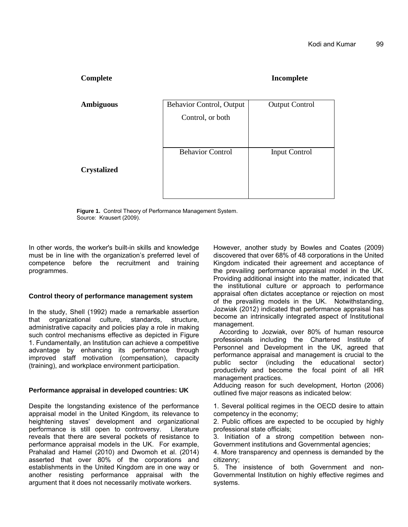**Complete Incomplete** 

| <b>Ambiguous</b>   | Behavior Control, Output | <b>Output Control</b> |  |  |
|--------------------|--------------------------|-----------------------|--|--|
|                    | Control, or both         |                       |  |  |
|                    |                          |                       |  |  |
|                    | <b>Behavior Control</b>  | <b>Input Control</b>  |  |  |
| <b>Crystalized</b> |                          |                       |  |  |
|                    |                          |                       |  |  |

**Figure 1.** Control Theory of Performance Management System. Source: Krausert (2009).

In other words, the worker's built-in skills and knowledge must be in line with the organization's preferred level of competence before the recruitment and training programmes.

#### **Control theory of performance management system**

In the study, Shell (1992) made a remarkable assertion that organizational culture, standards, structure, administrative capacity and policies play a role in making such control mechanisms effective as depicted in Figure 1. Fundamentally, an Institution can achieve a competitive advantage by enhancing its performance through improved staff motivation (compensation), capacity (training), and workplace environment participation.

#### **Performance appraisal in developed countries: UK**

Despite the longstanding existence of the performance appraisal model in the United Kingdom, its relevance to heightening staves' development and organizational performance is still open to controversy. Literature reveals that there are several pockets of resistance to performance appraisal models in the UK. For example, Prahalad and Hamel (2010) and Dwomoh et al. (2014) asserted that over 80% of the corporations and establishments in the United Kingdom are in one way or another resisting performance appraisal with the argument that it does not necessarily motivate workers.

However, another study by Bowles and Coates (2009) discovered that over 68% of 48 corporations in the United Kingdom indicated their agreement and acceptance of the prevailing performance appraisal model in the UK. Providing additional insight into the matter, indicated that the institutional culture or approach to performance appraisal often dictates acceptance or rejection on most of the prevailing models in the UK. Notwithstanding, Jozwiak (2012) indicated that performance appraisal has become an intrinsically integrated aspect of Institutional management.

According to Jozwiak, over 80% of human resource professionals including the Chartered Institute of Personnel and Development in the UK, agreed that performance appraisal and management is crucial to the public sector (including the educational sector) productivity and become the focal point of all HR management practices.

Adducing reason for such development, Horton (2006) outlined five major reasons as indicated below:

1. Several political regimes in the OECD desire to attain competency in the economy;

2. Public offices are expected to be occupied by highly professional state officials;

3. Initiation of a strong competition between non-Government institutions and Governmental agencies;

4. More transparency and openness is demanded by the citizenry;

5. The insistence of both Government and non-Governmental Institution on highly effective regimes and systems.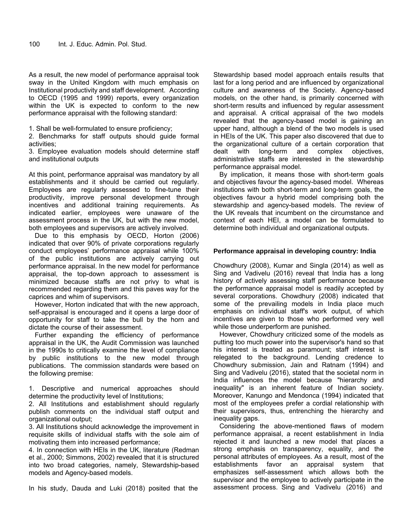As a result, the new model of performance appraisal took sway in the United Kingdom with much emphasis on Institutional productivity and staff development. According to OECD (1995 and 1999) reports, every organization within the UK is expected to conform to the new performance appraisal with the following standard:

1. Shall be well-formulated to ensure proficiency;

2. Benchmarks for staff outputs should guide formal activities;

3. Employee evaluation models should determine staff and institutional outputs

At this point, performance appraisal was mandatory by all establishments and it should be carried out regularly. Employees are regularly assessed to fine-tune their productivity, improve personal development through incentives and additional training requirements. As indicated earlier, employees were unaware of the assessment process in the UK, but with the new model, both employees and supervisors are actively involved.

Due to this emphasis by OECD, Horton (2006) indicated that over 90% of private corporations regularly conduct employees' performance appraisal while 100% of the public institutions are actively carrying out performance appraisal. In the new model for performance appraisal, the top-down approach to assessment is minimized because staffs are not privy to what is recommended regarding them and this paves way for the caprices and whim of supervisors.

However, Horton indicated that with the new approach, self-appraisal is encouraged and it opens a large door of opportunity for staff to take the bull by the horn and dictate the course of their assessment.

Further expanding the efficiency of performance appraisal in the UK, the Audit Commission was launched in the 1990s to critically examine the level of compliance by public institutions to the new model through publications. The commission standards were based on the following premise:

1. Descriptive and numerical approaches should determine the productivity level of Institutions;

2. All Institutions and establishment should regularly publish comments on the individual staff output and organizational output;

3. All Institutions should acknowledge the improvement in requisite skills of individual staffs with the sole aim of motivating them into increased performance;

4. In connection with HEIs in the UK, literature (Redman et al., 2000; Simmons, 2002) revealed that it is structured into two broad categories, namely, Stewardship-based models and Agency-based models.

In his study, Dauda and Luki (2018) posited that the

Stewardship based model approach entails results that last for a long period and are influenced by organizational culture and awareness of the Society. Agency-based models, on the other hand, is primarily concerned with short-term results and influenced by regular assessment and appraisal. A critical appraisal of the two models revealed that the agency-based model is gaining an upper hand, although a blend of the two models is used in HEIs of the UK. This paper also discovered that due to the organizational culture of a certain corporation that dealt with long-term and complex objectives, administrative staffs are interested in the stewardship performance appraisal model.

By implication, it means those with short-term goals and objectives favour the agency-based model. Whereas institutions with both short-term and long-term goals, the objectives favour a hybrid model comprising both the stewardship and agency-based models. The review of the UK reveals that incumbent on the circumstance and context of each HEI, a model can be formulated to determine both individual and organizational outputs.

#### **Performance appraisal in developing country: India**

Chowdhury (2008), Kumar and Singla (2014) as well as Sing and Vadivelu (2016) reveal that India has a long history of actively assessing staff performance because the performance appraisal model is readily accepted by several corporations. Chowdhury (2008) indicated that some of the prevailing models in India place much emphasis on individual staff's work output, of which incentives are given to those who performed very well while those underperform are punished.

However, Chowdhury criticized some of the models as putting too much power into the supervisor's hand so that his interest is treated as paramount; staff interest is relegated to the background. Lending credence to Chowdhury submission, Jain and Ratnam (1994) and Sing and Vadivelu (2016), stated that the societal norm in India influences the model because "hierarchy and inequality" is an inherent feature of Indian society. Moreover, Kanungo and Mendonca (1994) indicated that most of the employees prefer a cordial relationship with their supervisors, thus, entrenching the hierarchy and inequality gaps.

Considering the above-mentioned flaws of modern performance appraisal, a recent establishment in India rejected it and launched a new model that places a strong emphasis on transparency, equality, and the personal attributes of employees. As a result, most of the establishments favor an appraisal system that emphasizes self-assessment which allows both the supervisor and the employee to actively participate in the assessment process. Sing and Vadivelu (2016) and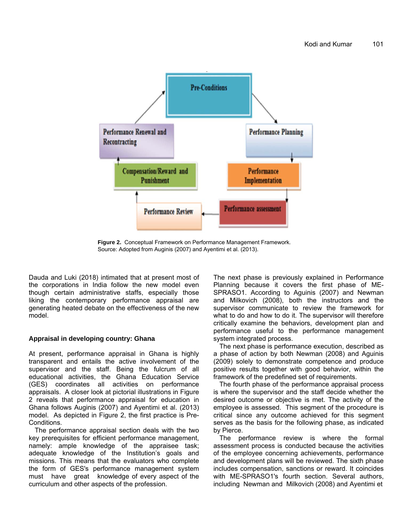

**Figure 2.** Conceptual Framework on Performance Management Framework. Source: Adopted from Auginis (2007) and Ayentimi et al. (2013).

Dauda and Luki (2018) intimated that at present most of the corporations in India follow the new model even though certain administrative staffs, especially those liking the contemporary performance appraisal are generating heated debate on the effectiveness of the new model.

#### **Appraisal in developing country: Ghana**

At present, performance appraisal in Ghana is highly transparent and entails the active involvement of the supervisor and the staff. Being the fulcrum of all educational activities, the Ghana Education Service (GES) coordinates all activities on performance appraisals. A closer look at pictorial illustrations in Figure 2 reveals that performance appraisal for education in Ghana follows Auginis (2007) and Ayentimi et al. (2013) model. As depicted in Figure 2, the first practice is Pre-Conditions.

The performance appraisal section deals with the two key prerequisites for efficient performance management, namely: ample knowledge of the appraisee task; adequate knowledge of the Institution's goals and missions. This means that the evaluators who complete the form of GES's performance management system must have great knowledge of every aspect of the curriculum and other aspects of the profession.

The next phase is previously explained in Performance Planning because it covers the first phase of ME-SPRASO1. According to Aguinis (2007) and Newman and Milkovich (2008), both the instructors and the supervisor communicate to review the framework for what to do and how to do it. The supervisor will therefore critically examine the behaviors, development plan and performance useful to the performance management system integrated process.

The next phase is performance execution, described as a phase of action by both Newman (2008) and Aguinis (2009) solely to demonstrate competence and produce positive results together with good behavior, within the framework of the predefined set of requirements.

The fourth phase of the performance appraisal process is where the supervisor and the staff decide whether the desired outcome or objective is met. The activity of the employee is assessed. This segment of the procedure is critical since any outcome achieved for this segment serves as the basis for the following phase, as indicated by Pierce.

The performance review is where the formal assessment process is conducted because the activities of the employee concerning achievements, performance and development plans will be reviewed. The sixth phase includes compensation, sanctions or reward. It coincides with ME-SPRASO1's fourth section. Several authors, including Newman and Milkovich (2008) and Ayentimi et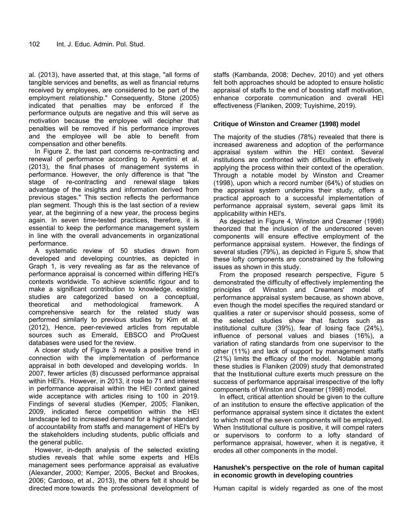al. (2013), have asserted that, at this stage, "all forms of tangible services and benefits, as well as financial returns received by employees, are considered to be part of the employment relationship." Consequently, Stone (2005) indicated that penalties may be enforced if the performance outputs are negative and this will serve as motivation because the employee will decipher that penalties will be removed if his performance improves and the employee will be able to benefit from compensation and other benefits.

In Figure 2, the last part concerns re-contracting and renewal of performance according to Ayentimi et al. (2013), the final phases of management systems in performance. However, the only difference is that "the stage of re-contracting and renewal stage takes advantage of the insights and information derived from previous stages." This section reflects the performance plan segment. Though this is the last section of a review year, at the beginning of a new year, the process begins again. In seven time-tested practices, therefore, it is essential to keep the performance management system in line with the overall advancements in organizational performance.

A systematic review of 50 studies drawn from developed and developing countries, as depicted in Graph 1, is very revealing as far as the relevance of performance appraisal is concerned within differing HEI's contexts worldwide. To achieve scientific rigour and to make a significant contribution to knowledge, existing studies are categorized based on a conceptual, theoretical and methodological framework. A comprehensive search for the related study was performed similarly to previous studies by Kim et al. (2012), Hence, peer-reviewed articles from reputable sources such as Emerald, EBSCO and ProQuest databases were used for the review.

A closer study of Figure 3 reveals a positive trend in connection with the implementation of performance appraisal in both developed and developing worlds. In 2007, fewer articles (8) discussed performance appraisal within HEI's. However, in 2013, it rose to 71 and interest in performance appraisal within the HEI context gained wide acceptance with articles rising to 100 in 2019. Findings of several studies (Kemper, 2005; Flaniken, 2009, indicated fierce competition within the HEI landscape led to increased demand for a higher standard of accountability from staffs and management of HEI's by the stakeholders including students, public officials and the general public.

However, in-depth analysis of the selected existing studies reveals that while some experts and HEIs management sees performance appraisal as evaluative (Alexander, 2000; Kemper, 2005, Becket and Brookes, 2006; Cardoso, et al.*,* 2013), the others felt it should be directed more towards the professional development of staffs (Kambanda, 2008; Dechev, 2010) and yet others felt both approaches should be adopted to ensure holistic appraisal of staffs to the end of boosting staff motivation, enhance corporate communication and overall HEI effectiveness (Flaniken, 2009; Tuyishime, 2019).

#### **Critique of Winston and Creamer (1998) model**

The majority of the studies (78%) revealed that there is increased awareness and adoption of the performance appraisal system within the HEI context. Several institutions are confronted with difficulties in effectively applying the process within their context of the operation. Through a notable model by Winston and Creamer (1998), upon which a record number (64%) of studies on the appraisal system underpins their study, offers a practical approach to a successful implementation of performance appraisal system, several gaps limit its applicability within HEI's.

As depicted in Figure 4, Winston and Creamer (1998) theorized that the inclusion of the underscored seven components will ensure effective employment of the performance appraisal system. However, the findings of several studies (79%), as depicted in Figure 5, show that these lofty components are constrained by the following issues as shown in this study.

From the proposed research perspective, Figure 5 demonstrated the difficulty of effectively implementing the principles of Winston and Creamers' model of performance appraisal system because, as shown above, even though the model specifies the required standard or qualities a rater or supervisor should possess, some of the selected studies show that factors such as institutional culture (39%), fear of losing face (24%), influence of personal values and biases (16%), a variation of rating standards from one supervisor to the other (11%) and lack of support by management staffs (21%) limits the efficacy of the model. Notable among these studies is Flaniken (2009) study that demonstrated that the Institutional culture exerts much pressure on the success of performance appraisal irrespective of the lofty components of Winston and Creamer (1998) model.

In effect, critical attention should be given to the culture of an institution to ensure the effective application of the performance appraisal system since it dictates the extent to which most of the seven components will be employed. When Institutional culture is positive, it will compel raters or supervisors to conform to a lofty standard of performance appraisal, however, when it is negative, it erodes all other components in the model.

#### **Hanushek's perspective on the role of human capital in economic growth in developing countries**

Human capital is widely regarded as one of the most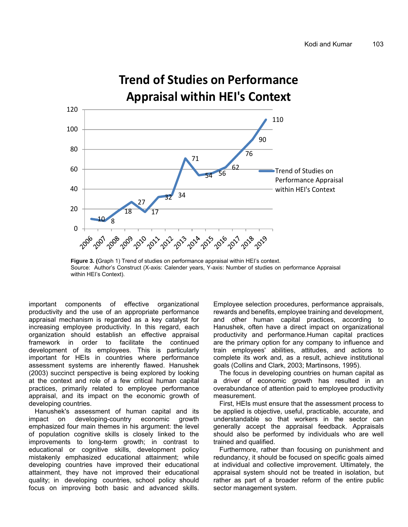

#### **Figure 3. (**Graph 1) Trend of studies on performance appraisal within HEI's context. Source: Author's Construct (X-axis: Calender years, Y-axis: Number of studies on performance Appraisal within HEI's Context).

important components of effective organizational productivity and the use of an appropriate performance appraisal mechanism is regarded as a key catalyst for increasing employee productivity. In this regard, each organization should establish an effective appraisal framework in order to facilitate the continued development of its employees. This is particularly important for HEIs in countries where performance assessment systems are inherently flawed. Hanushek (2003) succinct perspective is being explored by looking at the context and role of a few critical human capital practices, primarily related to employee performance appraisal, and its impact on the economic growth of developing countries.

Hanushek's assessment of human capital and its impact on developing-country economic growth emphasized four main themes in his argument: the level of population cognitive skills is closely linked to the improvements to long-term growth; in contrast to educational or cognitive skills, development policy mistakenly emphasized educational attainment; while developing countries have improved their educational attainment, they have not improved their educational quality; in developing countries, school policy should focus on improving both basic and advanced skills. Employee selection procedures, performance appraisals, rewards and benefits, employee training and development, and other human capital practices, according to Hanushek, often have a direct impact on organizational productivity and performance.Human capital practices are the primary option for any company to influence and train employees' abilities, attitudes, and actions to complete its work and, as a result, achieve institutional goals (Collins and Clark, 2003; Martinsons, 1995).

The focus in developing countries on human capital as a driver of economic growth has resulted in an overabundance of attention paid to employee productivity measurement.

First, HEIs must ensure that the assessment process to be applied is objective, useful, practicable, accurate, and understandable so that workers in the sector can generally accept the appraisal feedback. Appraisals should also be performed by individuals who are well trained and qualified.

Furthermore, rather than focusing on punishment and redundancy, it should be focused on specific goals aimed at individual and collective improvement. Ultimately, the appraisal system should not be treated in isolation, but rather as part of a broader reform of the entire public sector management system.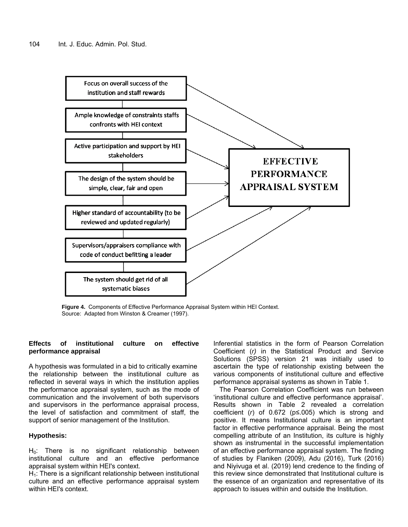

**Figure 4.** Components of Effective Performance Appraisal System within HEI Context. Source: Adapted from Winston & Creamer (1997).

### **Effects of institutional culture on effective performance appraisal**

A hypothesis was formulated in a bid to critically examine the relationship between the institutional culture as reflected in several ways in which the institution applies the performance appraisal system, such as the mode of communication and the involvement of both supervisors and supervisors in the performance appraisal process, the level of satisfaction and commitment of staff, the support of senior management of the Institution.

## **Hypothesis:**

 $H_0$ : There is no significant relationship between institutional culture and an effective performance appraisal system within HEI's context.

 $H<sub>1</sub>$ : There is a significant relationship between institutional culture and an effective performance appraisal system within HEI's context.

Inferential statistics in the form of Pearson Correlation Coefficient (*r)* in the Statistical Product and Service Solutions (SPSS) version 21 was initially used to ascertain the type of relationship existing between the various components of institutional culture and effective performance appraisal systems as shown in Table 1.

The Pearson Correlation Coefficient was run between 'institutional culture and effective performance appraisal'. Results shown in Table 2 revealed a correlation coefficient (*r*) of 0.672 (p≤.005) which is strong and positive. It means Institutional culture is an important factor in effective performance appraisal. Being the most compelling attribute of an Institution, its culture is highly shown as instrumental in the successful implementation of an effective performance appraisal system. The finding of studies by Flaniken (2009), Adu (2016), Turk (2016) and Niyivuga et al. (2019) lend credence to the finding of this review since demonstrated that Institutional culture is the essence of an organization and representative of its approach to issues within and outside the Institution.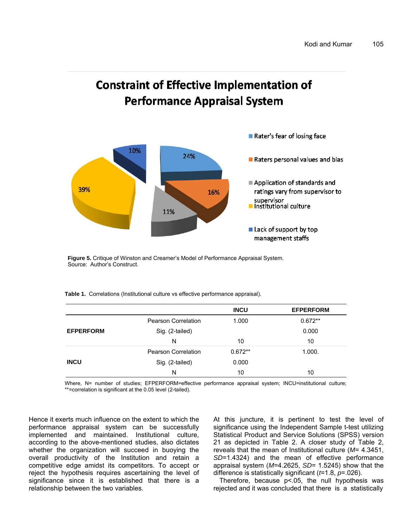# **Constraint of Effective Implementation of Performance Appraisal System**



**Figure 5.** Critique of Winston and Creamer's Model of Performance Appraisal System. Source: Author's Construct.

**Table 1.** Correlations (Institutional culture vs effective performance appraisal).

|                  |                            | <b>INCU</b> | <b>EFPERFORM</b> |  |  |
|------------------|----------------------------|-------------|------------------|--|--|
|                  | <b>Pearson Correlation</b> | 1.000       | $0.672**$        |  |  |
| <b>EFPERFORM</b> | Sig. (2-tailed)            |             |                  |  |  |
|                  | N                          | 10          | 10               |  |  |
| <b>INCU</b>      | <b>Pearson Correlation</b> | $0.672**$   | 1.000.           |  |  |
|                  | Sig. (2-tailed)            | 0.000       |                  |  |  |
|                  | N                          | 10          | 10               |  |  |

Where, N= number of studies; EFPERFORM=effective performance appraisal system; INCU=institutional culture; \*\*=correlation is significant at the 0.05 level (2-tailed).

Hence it exerts much influence on the extent to which the performance appraisal system can be successfully implemented and maintained. Institutional culture, according to the above-mentioned studies, also dictates whether the organization will succeed in buoying the overall productivity of the Institution and retain a competitive edge amidst its competitors. To accept or reject the hypothesis requires ascertaining the level of significance since it is established that there is a relationship between the two variables.

At this juncture, it is pertinent to test the level of significance using the Independent Sample t-test utilizing Statistical Product and Service Solutions (SPSS) version 21 as depicted in Table 2. A closer study of Table 2, reveals that the mean of Institutional culture (*M*= 4.3451, *SD*=1.4324) and the mean of effective performance appraisal system (*M*=4.2625, *SD*= 1.5245) show that the difference is statistically significant (*t*=1.8, *p*=.026).

Therefore, because p<.05, the null hypothesis was rejected and it was concluded that there is a statistically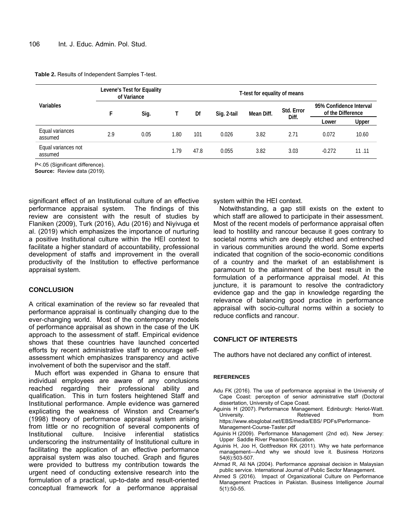| Variables                      | Levene's Test for Equality<br>of Variance |      | T-test for equality of means |      |             |            |                     |                                              |       |
|--------------------------------|-------------------------------------------|------|------------------------------|------|-------------|------------|---------------------|----------------------------------------------|-------|
|                                | F                                         | Sig. |                              | Df   | Sig. 2-tail | Mean Diff. | Std. Error<br>Diff. | 95% Confidence Interval<br>of the Difference |       |
|                                |                                           |      |                              |      |             |            |                     | Lower                                        | Upper |
| Equal variances<br>assumed     | 2.9                                       | 0.05 | l.80                         | 101  | 0.026       | 3.82       | 2.71                | 0.072                                        | 10.60 |
| Equal variances not<br>assumed |                                           |      | 1.79                         | 47.8 | 0.055       | 3.82       | 3.03                | $-0.272$                                     | 11.11 |

P<.05 (Significant difference).

**Source:** Review data (2019).

significant effect of an Institutional culture of an effective performance appraisal system. The findings of this review are consistent with the result of studies by Flaniken (2009), Turk (2016), Adu (2016) and Niyivuga et al. (2019) which emphasizes the importance of nurturing a positive Institutional culture within the HEI context to facilitate a higher standard of accountability, professional development of staffs and improvement in the overall productivity of the Institution to effective performance appraisal system.

#### **CONCLUSION**

A critical examination of the review so far revealed that performance appraisal is continually changing due to the ever-changing world. Most of the contemporary models of performance appraisal as shown in the case of the UK approach to the assessment of staff. Empirical evidence shows that these countries have launched concerted efforts by recent administrative staff to encourage selfassessment which emphasizes transparency and active involvement of both the supervisor and the staff.

Much effort was expended in Ghana to ensure that individual employees are aware of any conclusions reached regarding their professional ability and qualification. This in turn fosters heightened Staff and Institutional performance. Ample evidence was garnered explicating the weakness of Winston and Creamer's (1998) theory of performance appraisal system arising from little or no recognition of several components of Institutional culture. Incisive inferential statistics underscoring the instrumentality of Institutional culture in facilitating the application of an effective performance appraisal system was also touched. Graph and figures were provided to buttress my contribution towards the urgent need of conducting extensive research into the formulation of a practical, up-to-date and result-oriented conceptual framework for a performance appraisal

system within the HEI context.

Notwithstanding, a gap still exists on the extent to which staff are allowed to participate in their assessment. Most of the recent models of performance appraisal often lead to hostility and rancour because it goes contrary to societal norms which are deeply etched and entrenched in various communities around the world. Some experts indicated that cognition of the socio-economic conditions of a country and the market of an establishment is paramount to the attainment of the best result in the formulation of a performance appraisal model. At this juncture, it is paramount to resolve the contradictory evidence gap and the gap in knowledge regarding the relevance of balancing good practice in performance appraisal with socio-cultural norms within a society to reduce conflicts and rancour.

#### **CONFLICT OF INTERESTS**

The authors have not declared any conflict of interest.

#### **REFERENCES**

- Adu FK (2016). The use of performance appraisal in the University of Cape Coast: perception of senior administrative staff (Doctoral dissertation, University of Cape Coast.
- Aguinis H (2007). Performance Management. Edinburgh: Heriot-Watt. University. The external section of Retrieved and the from https://www.ebsglobal.net/EBS/media/EBS/ PDFs/Performance-Management-Course-Taster.pdf
- Aguinis H (2009). Performance Management (2nd ed). New Jersey: Upper Saddle River Pearson Education.
- Aguinis H, Joo H, Gottfredson RK (2011). Why we hate performance management—And why we should love it. Business Horizons 54(6):503-507.
- Ahmad R, Ali NA (2004). Performance appraisal decision in Malaysian public service. International Journal of Public Sector Management.
- Ahmed S (2016). Impact of Organizational Culture on Performance Management Practices in Pakistan. Business Intelligence Journal 5(1):50-55.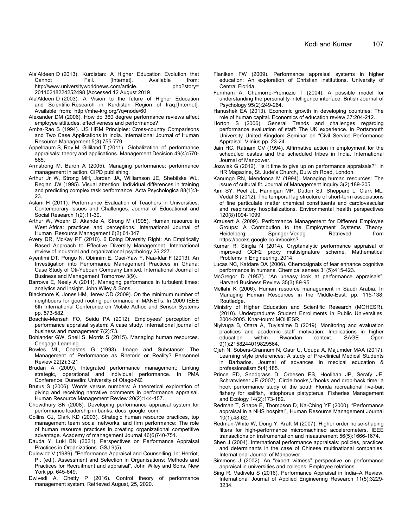- Ala'Aldeen D (2013). Kurdistan: A Higher Education Evolution that Cannot Fail. [Internet]. Available from: http://www.universityworldnews.com/article. 20110218224252498 [Accessed 12 August 2019
- Ala'Aldeen D (2003). A Vision to the future of Higher Education and Scientific Research in Kurdistan Region of Iraq.[Internet]. Available from: http://mhe-krg.org/?q=node/60
- Alexander DM (2006). How do 360 degree performance reviews affect employee attitudes, effectiveness and performance?.
- Amba-Rao S (1994). US HRM Principles: Cross-country Comparisons and Two Case Applications in India. International Journal of Human Resource Management 5(3):755-779.
- Appelbaum S, Roy M, Gilliland T (2011). Globalization of performance appraisals: theory and applications. Management Decision 49(4):570- 585.
- Armstrong M, Baron A (2005). Managing performance: performance management in action. CIPD publishing.
- Arthur Jr W, Strong MH, Jordan JA, Williamson JE, Shebilske WL, Regian JW (1995). Visual attention: Individual differences in training and predicting complex task performance. Acta Psychologica 88(1):3- 23.
- Aslam H (2011). Performance Evaluation of Teachers in Universities: Contemporary Issues and Challenges. Journal of Educational and Social Research 1(2):11-30.
- Arthur W, Woehr D, Akande A, Strong M (1995). Human resource in West Africa: practices and perceptions. International Journal of Human Resource Management 6(2):61-347.
- Avery DR, McKay PF (2010). 6 Doing Diversity Right: An Empirically Based Approach to Effective Diversity Management. International review of industrial and organizational psychology 25:227.
- Ayentimi DT, Pongo N, Obinnim E, Osei-Yaw F, Naa-Idar F (2013). An Investigation into Performance Management Practices in Ghana: Case Study of Oti-Yeboah Company Limited. International Journal of Business and Management Tomorrow 3(9).
- Barrows E, Neely A (2011). Managing performance in turbulent times: analytics and insight. John Wiley & Sons.
- Blackmore K, Jones HM, Jerew OD (2009). On the minimum number of neighbours for good routing performance in MANETs. In 2009 IEEE 6th International Conference on Mobile Adhoc and Sensor Systems pp. 573-582.
- Boachie-Mensah FO, Seidu PA (2012). Employees' perception of performance appraisal system: A case study. International journal of business and management 7(2):73.
- Bohlander GW, Snell S, Morris S (2015). Managing human resources. Cengage Learning.
- Bowles ML, Coastes G (1993). Image and Substance: The Management of Performance as Rhetoric or Reality? Personnel Review 22(2):3-21
- Brudan A (2009). Integrated performance management: Linking strategic, operational and individual performance. In PMA Conference. Dunedin: University of Otago-NZ.
- Brutus S (2006). Words versus numbers: A theoretical exploration of giving and receiving narrative comments in performance appraisal. Human Resource Management Review 20(2):144-157.
- Chowdhury SN (2008). Developing performance appraisal system for performance leadership in banks. docs. google. com.
- Collins CJ, Clark KD (2003). Strategic human resource practices, top management team social networks, and firm performance: The role of human resource practices in creating organizational competitive advantage. Academy of management Journal 46(6)740-751.
- Dauda Y, Luki BN (2021). Perspectives on Performance Appraisal Practices in Organizations. GSJ 9(5).
- Dulewicz V (1989). "Performance Appraisal and Counselling, In: Herriot, P., (ed.), Assessment and Selection in Organisations: Methods and Practices for Recruitment and appraisal", John Wiley and Sons, New York pp. 645-649.
- Dwivedi A, Chetty P (2016). Control theory of performance management system. Retrieved August, 25, 2020.
- Flaniken FW (2009). Performance appraisal systems in higher education: An exploration of Christian institutions. University of Central Florida.
- Furnham A, Chamorro‐Premuzic T (2004). A possible model for understanding the personality-intelligence interface. British Journal of Psychology 95(2):249-264.
- Hanushek EA (2013). Economic growth in developing countries: The role of human capital. Economics of education review 37:204-212.
- Horton S (2006). General Trends and challenges regarding performance evaluation of staff: The UK experience. In Portsmouth University United Kingdom Seminar on "Civil Service Performance Appraisal" Vilnius pp. 23-24.
- Jain HC, Ratnam CV (1994). Affirmative action in employment for the scheduled castes and the scheduled tribes in India. International Journal of Manpower.
- Jozwiak G (2012). "Is it time to give up on performance appraisals?", in HR Magazine, St. Jude's Church, Dulwich Road, London.
- Kanungo RN, Mendonca M (1994). Managing human resources: The issue of cultural fit. Journal of Management Inquiry 3(2):189-205.
- Kim SY, Peel JL, Hannigan MP, Dutton SJ, Sheppard L, Clark ML, Vedal S (2012). The temporal lag structure of short-term associations of fine particulate matter chemical constituents and cardiovascular and respiratory hospitalizations. Environmental health perspectives 120(8)1094-1099.
- Krausert A (2009). Performance Management for Different Employee Groups: A Contribution to the Employment Systems Theory. Heidelberg: Springer-Verlag. Retrieved from https://books.google.co.in/books?
- Kumar R, Singla N (2014). Cryptanalytic performance appraisal of improved CCH2 proxy multisignature scheme. Mathematical Problems in Engineering, 2014.
- Lucas NC, Katdare DA (2006). Chemosignals of fear enhance cognitive performance in humans. Chemical senses 31(5):415-423.
- McGregor D (1957). "An uneasy look at performance appraisals", Harvard Business Review 35(3):89‐95
- Mellahi K (2006). Human resource management in Saudi Arabia. In Managing Human Resources in the Middle-East. pp. 115-138. Routledge.
- Ministry of Higher Education and Scientific Research (MOHESR). (2010). Undergraduate Student Enrollments in Public Universities, 2004-2005. Khar-toum: MOHESR.
- Niyivuga B, Otara A, Tuyishime D (2019). Monitoring and evaluation practices and academic staff motivation: Implications in higher education within Rwandan context. SAGE Open 9(1):2158244019829564.
- Ojeh N, Sobers-Grannum N, Gaur U, Udupa A, Majumder MAA (2017). Learning style preferences: A study of Pre-clinical Medical Students in Barbados. Journal of advances in medical education & professionalism 5(4):185.
- Prince ED, Snodgrass D, Orbesen ES, Hoolihan JP, Serafy JE, Schratwieser JE (2007). Circle hooks,'J'hooks and drop‐back time: a hook performance study of the south Florida recreational live-bait fishery for sailfish, Istiophorus platypterus. Fisheries Management and Ecology 14(2):173-182.
- Redman T, Snape E, Thompson D, Ka‐Ching YF (2000). "Performance appraisal in a NHS hospital", Human Resource Management Journal 10(1):48‐62.
- Redman-White W, Dong Y, Kraft M (2007). Higher order noise-shaping filters for high-performance micromachined accelerometers. IEEE transactions on instrumentation and measurement 56(5):1666-1674.
- Shen J (2004). International performance appraisals: policies, practices and determinants in the case of Chinese multinational companies. International Journal of Manpower.
- Simmons J (2002). An "expert witness" perspective on performance appraisal in universities and colleges. Employee relations.
- Sing R, Vadivelu S (2016). Performance Appraisal in India–A Review. International Journal of Applied Engineering Research 11(5):3229- 3234.